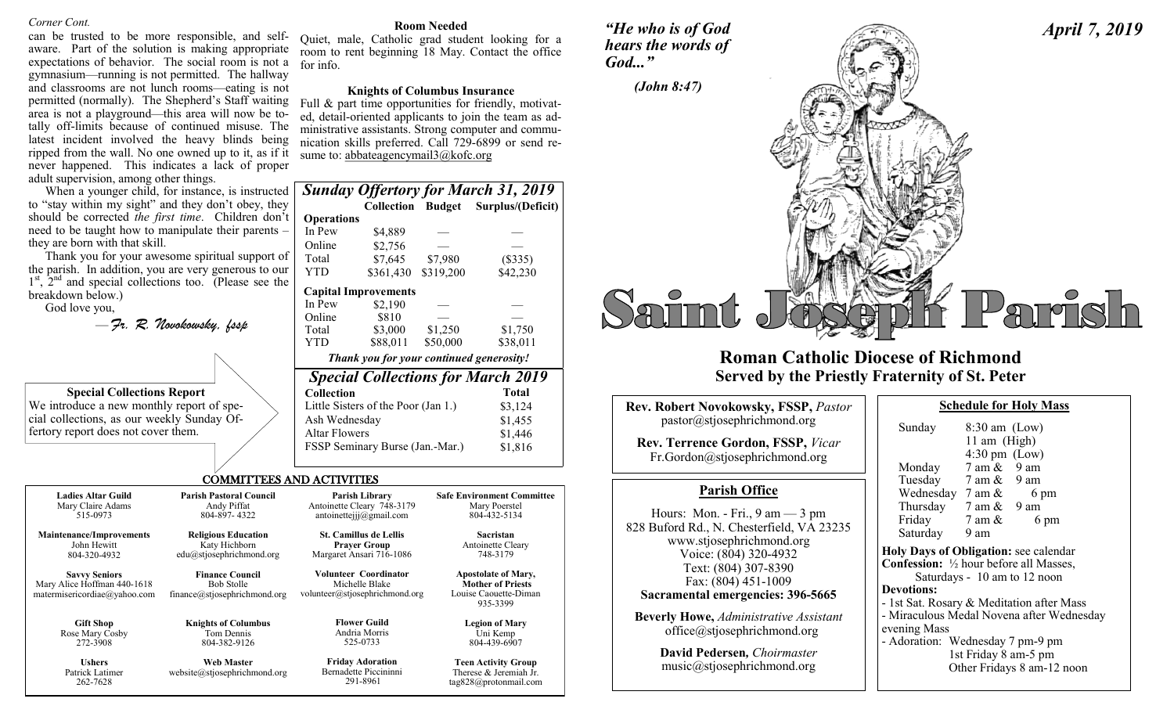### *Corner Cont.*

can be trusted to be more responsible, and selfaware. Part of the solution is making appropriate expectations of behavior. The social room is not a gymnasium—running is not permitted. The hallway and classrooms are not lunch rooms—eating is not permitted (normally). The Shepherd's Staff waiting area is not a playground—this area will now be totally off-limits because of continued misuse. The latest incident involved the heavy blinds being ripped from the wall. No one owned up to it, as if it never happened. This indicates a lack of proper adult supervision, among other things.

When a younger child, for instance, is instructed to "stay within my sight" and they don't obey, they should be corrected *the first time*. Children don't need to be taught how to manipulate their parents – they are born with that skill.

Thank you for your awesome spiritual support of the parish. In addition, you are very generous to our 1<sup>st</sup>, 2<sup>nd</sup> and special collections too. (Please see the breakdown below.)

God love you,

|  |  | – Fr. R. Novokowsky, fssp |  |
|--|--|---------------------------|--|
|--|--|---------------------------|--|

| <b>Special Collections Report</b>          |  |
|--------------------------------------------|--|
| We introduce a new monthly report of spe-  |  |
| cial collections, as our weekly Sunday Of- |  |
| fertory report does not cover them.        |  |

|                                            |                                     |  | Full & part time opportunities for friendly, motivat-  |
|--------------------------------------------|-------------------------------------|--|--------------------------------------------------------|
|                                            |                                     |  | ed, detail-oriented applicants to join the team as ad- |
|                                            |                                     |  | ministrative assistants. Strong computer and commu-    |
|                                            |                                     |  | nication skills preferred. Call 729-6899 or send re-   |
|                                            | sume to: abbateagencymail3@kofc.org |  |                                                        |
|                                            |                                     |  |                                                        |
|                                            |                                     |  |                                                        |
| <b>Sunday Offertory for March 31, 2019</b> |                                     |  |                                                        |
|                                            |                                     |  | Collection Budget Surplus/(Deficit)                    |
| <b>Operations</b>                          |                                     |  |                                                        |
| In Pew                                     | \$4,889                             |  |                                                        |

for info.

| In Pew                                    | \$4,889                             |           |              |
|-------------------------------------------|-------------------------------------|-----------|--------------|
| Online                                    | \$2,756                             |           |              |
| Total                                     | \$7.645                             | \$7,980   | (\$335)      |
| YTD                                       | \$361,430                           | \$319,200 | \$42,230     |
|                                           | <b>Capital Improvements</b>         |           |              |
| In Pew                                    | \$2,190                             |           |              |
| Online                                    | \$810                               |           |              |
| Total                                     | \$3,000                             | \$1,250   | \$1,750      |
| YTD                                       | \$88,011                            | \$50,000  | \$38,011     |
| Thank you for your continued generosity!  |                                     |           |              |
| <b>Special Collections for March 2019</b> |                                     |           |              |
| Collection                                |                                     |           | <b>Total</b> |
|                                           | Little Sisters of the Poor (Jan 1.) |           | \$3,124      |
| Ash Wednesday                             |                                     |           | \$1,455      |
| Altar Flowers                             |                                     |           | \$1,446      |
|                                           | FSSP Seminary Burse (Jan.-Mar.)     |           | \$1.816      |

**Room Needed** Quiet, male, Catholic grad student looking for a room to rent beginning 18 May. Contact the office

**Knights of Columbus Insurance**

**Safe Environment Committee** Mary Poerstel 804-432-5134 **Sacristan** Antoinette Cleary 748-3179 **Apostolate of Mary, Mother of Priests** Louise Caouette-Diman 935-3399 **Legion of Mary** Uni Kemp 804-439-6907 **Teen Activity Group** Therese & Jeremiah Jr. tag828@protonmail.com

### COMMITTEES AND ACTIVITIES

| <b>Ladies Altar Guild</b> |  |
|---------------------------|--|
| Mary Claire Adams         |  |
| 515-0973                  |  |

**Maintenance/Improvements** John Hewitt 804-320-4932

**Savvy Seniors** Mary Alice Hoffman 440-1618 matermisericordiae@yahoo.com

> **Gift Shop**  Rose Mary Cosby 272-3908

**Ushers** Patrick Latimer 262-7628

**Religious Education** Katy Hichborn edu@stjosephrichmond.org Margaret Ansari 716-1086

**Parish Pastoral Council** Andy Piffat 804-897- 4322

Bob Stolle

**Knights of Columbus** Tom Dennis 804-382-9126 **Web Master** website@stjosephrichmond.org

**Finance Council** finance@stjosephrichmond.org **Volunteer Coordinator** Michelle Blake volunteer@stjosephrichmond.org

**Parish Library** Antoinette Cleary 748-3179 antoinettejjj@gmail.com **St. Camillus de Lellis Prayer Group**

**Flower Guild** Andria Morris

525-0733

**Friday Adoration** Bernadette Piccininni 291-8961

*"He who is of God hears the words of God..."*



# **Roman Catholic Diocese of Richmond Served by the Priestly Fraternity of St. Peter**

| <b>Rev. Robert Novokowsky, FSSP, Pastor</b>                                                                                   | <b>Schedule for Holy Mass</b>                                                                                         |
|-------------------------------------------------------------------------------------------------------------------------------|-----------------------------------------------------------------------------------------------------------------------|
| pastor@stjosephrichmond.org<br><b>Rev. Terrence Gordon, FSSP, Vicar</b><br>Fr.Gordon@stjosephrichmond.org                     | $8:30$ am (Low)<br>Sunday<br>11 am $(High)$<br>$4:30 \text{ pm}$ (Low)<br>$7 \text{ am } \& 9 \text{ am}$<br>Monday   |
| <b>Parish Office</b>                                                                                                          | Tuesday 7 am & 9 am<br>Wednesday $7 \text{ am } \&$<br>6 pm                                                           |
| Hours: Mon. - Fri., $9 \text{ am} - 3 \text{ pm}$<br>828 Buford Rd., N. Chesterfield, VA 23235<br>www.stjosephrichmond.org    | Thursday $7 \text{ am } \& 9 \text{ am}$<br>Friday<br>7 am &<br>6 pm<br>Saturday<br>9 am                              |
| Voice: (804) 320-4932<br>Text: (804) 307-8390<br>Fax: (804) 451-1009                                                          | Holy Days of Obligation: see calenda<br><b>Confession:</b> 1/2 hour before all Masses<br>Saturdays - 10 am to 12 noon |
| Sacramental emergencies: 396-5665<br><b>Beverly Howe, Administrative Assistant</b><br>$of\text{fice}(a)$ stjosephrichmond.org | <b>Devotions:</b><br>- 1st Sat. Rosary & Meditation after M<br>- Miraculous Medal Novena after Wed<br>evening Mass    |
|                                                                                                                               |                                                                                                                       |

**David Pedersen***, Choirmaster* music@stjosephrichmond.org

|                                           | 11 am (High)            |                            |  |  |
|-------------------------------------------|-------------------------|----------------------------|--|--|
|                                           | $4:30 \text{ pm}$ (Low) |                            |  |  |
| Monday $7 \text{ am } \& 9 \text{ am}$    |                         |                            |  |  |
| Tuesday 7 am & 9 am                       |                         |                            |  |  |
| Wednesday $7 \text{ am } \& 6 \text{ pm}$ |                         |                            |  |  |
| Thursday $7 \text{ am } \& 9 \text{ am}$  |                         |                            |  |  |
| Friday                                    | $7 \text{ am } \&$      | 6 pm                       |  |  |
| Saturday 9 am                             |                         |                            |  |  |
| Holy Days of Obligation: see calendar     |                         |                            |  |  |
| Confession: 1/2 hour before all Masses,   |                         |                            |  |  |
| Saturdays - 10 am to 12 noon              |                         |                            |  |  |
| <b>Devotions:</b>                         |                         |                            |  |  |
| - 1st Sat. Rosary & Meditation after Mass |                         |                            |  |  |
| - Miraculous Medal Novena after Wednesday |                         |                            |  |  |
| evening Mass                              |                         |                            |  |  |
| - Adoration: Wednesday 7 pm-9 pm          |                         |                            |  |  |
|                                           | 1st Friday 8 am-5 pm    |                            |  |  |
|                                           |                         | Other Fridays 8 am-12 noon |  |  |
|                                           |                         |                            |  |  |

*April 7, 2019*